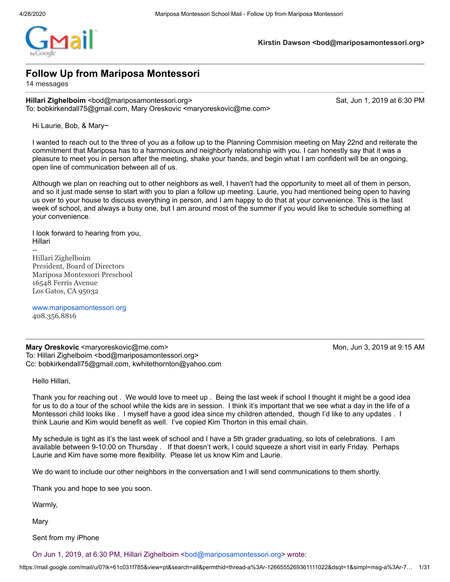**Kirstin Dawson <bod@mariposamontessori.org>**

# **Follow Up from Mariposa Montessori**

14 messages

**Hillari Zighelboim** <bod@mariposamontessori.org> Sat, Jun 1, 2019 at 6:30 PM To: bobkirkendall75@gmail.com, Mary Oreskovic <maryoreskovic@me.com>

Hi Laurie, Bob, & Mary~

I wanted to reach out to the three of you as a follow up to the Planning Commision meeting on May 22nd and reiterate the commitment that Mariposa has to a harmonious and neighborly relationship with you. I can honestly say that it was a pleasure to meet you in person after the meeting, shake your hands, and begin what I am confident will be an ongoing, open line of communication between all of us.

Although we plan on reaching out to other neighbors as well, I haven't had the opportunity to meet all of them in person, and so it just made sense to start with you to plan a follow up meeting. Laurie, you had mentioned being open to having us over to your house to discuss everything in person, and I am happy to do that at your convenience. This is the last week of school, and always a busy one, but I am around most of the summer if you would like to schedule something at your convenience.

I look forward to hearing from you, Hillari

Hillari Zighelboim President, Board of Directors Mariposa Montessori Preschool 16548 Ferris Avenue Los Gatos, CA 95032

[www.mariposamontessori.org](http://www.mariposamontessori.org/) 408.356.8816

**Mary Oreskovic <maryoreskovic@me.com> Mon, Jun 3, 2019 at 9:15 AM** To: Hillari Zighelboim <bod@mariposamontessori.org> Cc: bobkirkendall75@gmail.com, kwhitethornton@yahoo.com

Hello Hillari,

--

Thank you for reaching out . We would love to meet up . Being the last week if school I thought it might be a good idea for us to do a tour of the school while the kids are in session. I think it's important that we see what a day in the life of a Montessori child looks like . I myself have a good idea since my children attended, though I'd like to any updates . I think Laurie and Kim would benefit as well. I've copied Kim Thorton in this email chain.

My schedule is tight as it's the last week of school and I have a 5th grader graduating, so lots of celebrations. I am available between 9-10:00 on Thursday . If that doesn't work, I could squeeze a short visit in early Friday. Perhaps Laurie and Kim have some more flexibility. Please let us know Kim and Laurie.

We do want to include our other neighbors in the conversation and I will send communications to them shortly.

Thank you and hope to see you soon.

Warmly,

Mary

Sent from my iPhone

On Jun 1, 2019, at 6:30 PM, Hillari Zighelboim <br/>[bod@mariposamontessori.org](mailto:bod@mariposamontessori.org)> wrote: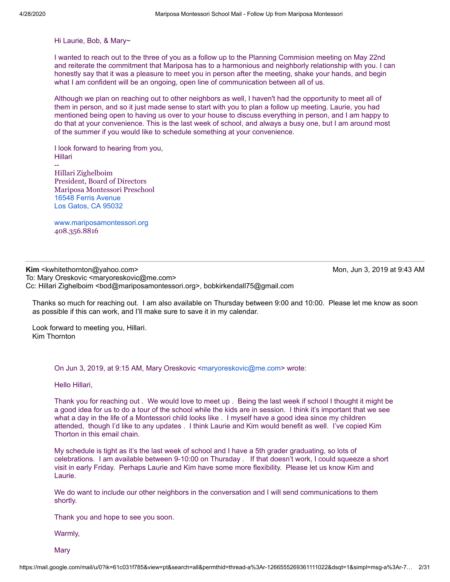Hi Laurie, Bob, & Mary~

I wanted to reach out to the three of you as a follow up to the Planning Commision meeting on May 22nd and reiterate the commitment that Mariposa has to a harmonious and neighborly relationship with you. I can honestly say that it was a pleasure to meet you in person after the meeting, shake your hands, and begin what I am confident will be an ongoing, open line of communication between all of us.

Although we plan on reaching out to other neighbors as well, I haven't had the opportunity to meet all of them in person, and so it just made sense to start with you to plan a follow up meeting. Laurie, you had mentioned being open to having us over to your house to discuss everything in person, and I am happy to do that at your convenience. This is the last week of school, and always a busy one, but I am around most of the summer if you would like to schedule something at your convenience.

I look forward to hearing from you, Hillari --

Hillari Zighelboim President, Board of Directors Mariposa Montessori Preschool [16548 Ferris Avenue](https://www.google.com/maps/search/16548+Ferris+Avenue+Los+Gatos,+CA+95032?entry=gmail&source=g) [Los Gatos, CA 95032](https://www.google.com/maps/search/16548+Ferris+Avenue+Los+Gatos,+CA+95032?entry=gmail&source=g)

[www.mariposamontessori.org](http://www.mariposamontessori.org/) 408.356.8816

**Kim** <kwhitethornton@yahoo.com> Mon, Jun 3, 2019 at 9:43 AM To: Mary Oreskovic <maryoreskovic@me.com> Cc: Hillari Zighelboim <bod@mariposamontessori.org>, bobkirkendall75@gmail.com

Thanks so much for reaching out. I am also available on Thursday between 9:00 and 10:00. Please let me know as soon as possible if this can work, and I'll make sure to save it in my calendar.

Look forward to meeting you, Hillari. Kim Thornton

On Jun 3, 2019, at 9:15 AM, Mary Oreskovic <[maryoreskovic@me.com](mailto:maryoreskovic@me.com)> wrote:

Hello Hillari,

Thank you for reaching out . We would love to meet up . Being the last week if school I thought it might be a good idea for us to do a tour of the school while the kids are in session. I think it's important that we see what a day in the life of a Montessori child looks like . I myself have a good idea since my children attended, though I'd like to any updates . I think Laurie and Kim would benefit as well. I've copied Kim Thorton in this email chain.

My schedule is tight as it's the last week of school and I have a 5th grader graduating, so lots of celebrations. I am available between 9-10:00 on Thursday . If that doesn't work, I could squeeze a short visit in early Friday. Perhaps Laurie and Kim have some more flexibility. Please let us know Kim and Laurie.

We do want to include our other neighbors in the conversation and I will send communications to them shortly.

Thank you and hope to see you soon.

Warmly,

Mary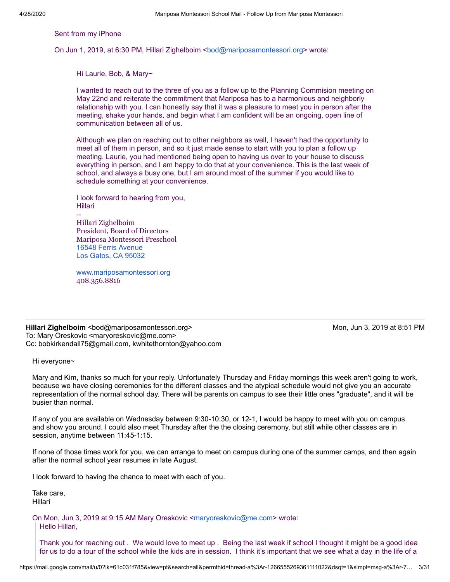Sent from my iPhone

On Jun 1, 2019, at 6:30 PM, Hillari Zighelboim <br/>[bod@mariposamontessori.org](mailto:bod@mariposamontessori.org)> wrote:

Hi Laurie, Bob, & Mary~

I wanted to reach out to the three of you as a follow up to the Planning Commision meeting on May 22nd and reiterate the commitment that Mariposa has to a harmonious and neighborly relationship with you. I can honestly say that it was a pleasure to meet you in person after the meeting, shake your hands, and begin what I am confident will be an ongoing, open line of communication between all of us.

Although we plan on reaching out to other neighbors as well, I haven't had the opportunity to meet all of them in person, and so it just made sense to start with you to plan a follow up meeting. Laurie, you had mentioned being open to having us over to your house to discuss everything in person, and I am happy to do that at your convenience. This is the last week of school, and always a busy one, but I am around most of the summer if you would like to schedule something at your convenience.

I look forward to hearing from you, Hillari

-- Hillari Zighelboim President, Board of Directors Mariposa Montessori Preschool [16548 Ferris Avenue](https://www.google.com/maps/search/16548+Ferris+Avenue+Los+Gatos,+CA+95032?entry=gmail&source=g) [Los Gatos, CA 95032](https://www.google.com/maps/search/16548+Ferris+Avenue+Los+Gatos,+CA+95032?entry=gmail&source=g)

[www.mariposamontessori.org](http://www.mariposamontessori.org/) 408.356.8816

**Hillari Zighelboim** <bod@mariposamontessori.org> Mon, Jun 3, 2019 at 8:51 PM To: Mary Oreskovic <maryoreskovic@me.com> Cc: bobkirkendall75@gmail.com, kwhitethornton@yahoo.com

Hi everyone~

Mary and Kim, thanks so much for your reply. Unfortunately Thursday and Friday mornings this week aren't going to work, because we have closing ceremonies for the different classes and the atypical schedule would not give you an accurate representation of the normal school day. There will be parents on campus to see their little ones "graduate", and it will be busier than normal.

If any of you are available on Wednesday between 9:30-10:30, or 12-1, I would be happy to meet with you on campus and show you around. I could also meet Thursday after the the closing ceremony, but still while other classes are in session, anytime between 11:45-1:15.

If none of those times work for you, we can arrange to meet on campus during one of the summer camps, and then again after the normal school year resumes in late August.

I look forward to having the chance to meet with each of you.

Take care, Hillari

On Mon, Jun 3, 2019 at 9:15 AM Mary Oreskovic <[maryoreskovic@me.com](mailto:maryoreskovic@me.com)> wrote: Hello Hillari,

Thank you for reaching out . We would love to meet up . Being the last week if school I thought it might be a good idea for us to do a tour of the school while the kids are in session. I think it's important that we see what a day in the life of a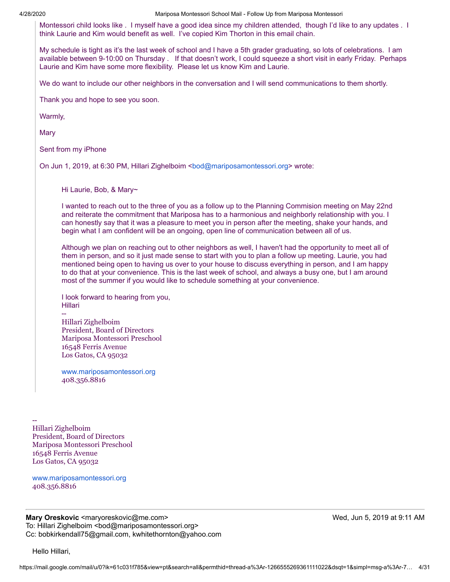Montessori child looks like . I myself have a good idea since my children attended, though I'd like to any updates . I think Laurie and Kim would benefit as well. I've copied Kim Thorton in this email chain.

My schedule is tight as it's the last week of school and I have a 5th grader graduating, so lots of celebrations. I am available between 9-10:00 on Thursday . If that doesn't work, I could squeeze a short visit in early Friday. Perhaps Laurie and Kim have some more flexibility. Please let us know Kim and Laurie.

We do want to include our other neighbors in the conversation and I will send communications to them shortly.

Thank you and hope to see you soon.

Warmly,

Mary

Sent from my iPhone

On Jun 1, 2019, at 6:30 PM, Hillari Zighelboim <[bod@mariposamontessori.org>](mailto:bod@mariposamontessori.org) wrote:

Hi Laurie, Bob, & Mary~

I wanted to reach out to the three of you as a follow up to the Planning Commision meeting on May 22nd and reiterate the commitment that Mariposa has to a harmonious and neighborly relationship with you. I can honestly say that it was a pleasure to meet you in person after the meeting, shake your hands, and begin what I am confident will be an ongoing, open line of communication between all of us.

Although we plan on reaching out to other neighbors as well, I haven't had the opportunity to meet all of them in person, and so it just made sense to start with you to plan a follow up meeting. Laurie, you had mentioned being open to having us over to your house to discuss everything in person, and I am happy to do that at your convenience. This is the last week of school, and always a busy one, but I am around most of the summer if you would like to schedule something at your convenience.

I look forward to hearing from you, Hillari

-- Hillari Zighelboim President, Board of Directors Mariposa Montessori Preschool 16548 Ferris Avenue Los Gatos, CA 95032

[www.mariposamontessori.org](http://www.mariposamontessori.org/) 408.356.8816

-- Hillari Zighelboim President, Board of Directors Mariposa Montessori Preschool 16548 Ferris Avenue Los Gatos, CA 95032

[www.mariposamontessori.org](http://www.mariposamontessori.org/) 408.356.8816

**Mary Oreskovic** <maryoreskovic@me.com> Network and the matrix of the Med, Jun 5, 2019 at 9:11 AM To: Hillari Zighelboim <bod@mariposamontessori.org> Cc: bobkirkendall75@gmail.com, kwhitethornton@yahoo.com

Hello Hillari,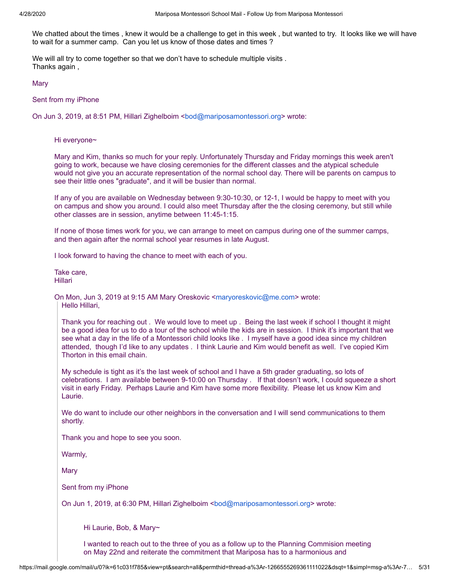We chatted about the times , knew it would be a challenge to get in this week , but wanted to try. It looks like we will have to wait for a summer camp. Can you let us know of those dates and times ?

We will all try to come together so that we don't have to schedule multiple visits . Thanks again ,

**Mary** 

Sent from my iPhone

On Jun 3, 2019, at 8:51 PM, Hillari Zighelboim <[bod@mariposamontessori.org](mailto:bod@mariposamontessori.org)> wrote:

Hi everyone~

Mary and Kim, thanks so much for your reply. Unfortunately Thursday and Friday mornings this week aren't going to work, because we have closing ceremonies for the different classes and the atypical schedule would not give you an accurate representation of the normal school day. There will be parents on campus to see their little ones "graduate", and it will be busier than normal.

If any of you are available on Wednesday between 9:30-10:30, or 12-1, I would be happy to meet with you on campus and show you around. I could also meet Thursday after the the closing ceremony, but still while other classes are in session, anytime between 11:45-1:15.

If none of those times work for you, we can arrange to meet on campus during one of the summer camps, and then again after the normal school year resumes in late August.

I look forward to having the chance to meet with each of you.

Take care, Hillari

On Mon, Jun 3, 2019 at 9:15 AM Mary Oreskovic <[maryoreskovic@me.com](mailto:maryoreskovic@me.com)> wrote: Hello Hillari,

Thank you for reaching out . We would love to meet up . Being the last week if school I thought it might be a good idea for us to do a tour of the school while the kids are in session. I think it's important that we see what a day in the life of a Montessori child looks like . I myself have a good idea since my children attended, though I'd like to any updates . I think Laurie and Kim would benefit as well. I've copied Kim Thorton in this email chain.

My schedule is tight as it's the last week of school and I have a 5th grader graduating, so lots of celebrations. I am available between 9-10:00 on Thursday . If that doesn't work, I could squeeze a short visit in early Friday. Perhaps Laurie and Kim have some more flexibility. Please let us know Kim and Laurie.

We do want to include our other neighbors in the conversation and I will send communications to them shortly.

Thank you and hope to see you soon.

Warmly,

Mary

Sent from my iPhone

On Jun 1, 2019, at 6:30 PM, Hillari Zighelboim <br/>[bod@mariposamontessori.org>](mailto:bod@mariposamontessori.org) wrote:

Hi Laurie, Bob, & Mary~

I wanted to reach out to the three of you as a follow up to the Planning Commision meeting on May 22nd and reiterate the commitment that Mariposa has to a harmonious and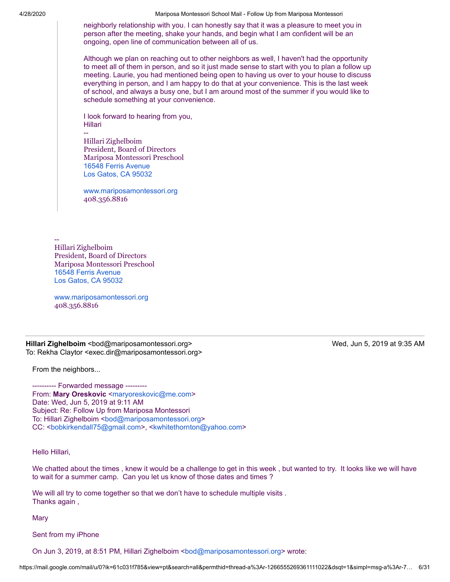neighborly relationship with you. I can honestly say that it was a pleasure to meet you in person after the meeting, shake your hands, and begin what I am confident will be an ongoing, open line of communication between all of us.

Although we plan on reaching out to other neighbors as well, I haven't had the opportunity to meet all of them in person, and so it just made sense to start with you to plan a follow up meeting. Laurie, you had mentioned being open to having us over to your house to discuss everything in person, and I am happy to do that at your convenience. This is the last week of school, and always a busy one, but I am around most of the summer if you would like to schedule something at your convenience.

I look forward to hearing from you, Hillari

-- Hillari Zighelboim President, Board of Directors Mariposa Montessori Preschool [16548 Ferris Avenue](https://www.google.com/maps/search/16548+Ferris+Avenue+Los+Gatos,+CA+95032?entry=gmail&source=g) [Los Gatos, CA 95032](https://www.google.com/maps/search/16548+Ferris+Avenue+Los+Gatos,+CA+95032?entry=gmail&source=g)

[www.mariposamontessori.org](http://www.mariposamontessori.org/) 408.356.8816

-- Hillari Zighelboim President, Board of Directors Mariposa Montessori Preschool [16548 Ferris Avenue](https://www.google.com/maps/search/16548+Ferris+Avenue+Los+Gatos,+CA+95032?entry=gmail&source=g) [Los Gatos, CA 95032](https://www.google.com/maps/search/16548+Ferris+Avenue+Los+Gatos,+CA+95032?entry=gmail&source=g)

[www.mariposamontessori.org](http://www.mariposamontessori.org/) 408.356.8816

**Hillari Zighelboim** <bod@mariposamontessori.org> Wed, Jun 5, 2019 at 9:35 AM To: Rekha Claytor <exec.dir@mariposamontessori.org>

From the neighbors...

---------- Forwarded message --------- From: Mary Oreskovic [<maryoreskovic@me.com>](mailto:maryoreskovic@me.com) Date: Wed, Jun 5, 2019 at 9:11 AM Subject: Re: Follow Up from Mariposa Montessori To: Hillari Zighelboim <[bod@mariposamontessori.org>](mailto:bod@mariposamontessori.org) CC: <bookirkendall75@gmail.com>, [<kwhitethornton@yahoo.com>](mailto:kwhitethornton@yahoo.com)

Hello Hillari,

We chatted about the times , knew it would be a challenge to get in this week , but wanted to try. It looks like we will have to wait for a summer camp. Can you let us know of those dates and times ?

We will all try to come together so that we don't have to schedule multiple visits . Thanks again ,

**Mary** 

Sent from my iPhone

On Jun 3, 2019, at 8:51 PM, Hillari Zighelboim <br/>[bod@mariposamontessori.org](mailto:bod@mariposamontessori.org)> wrote: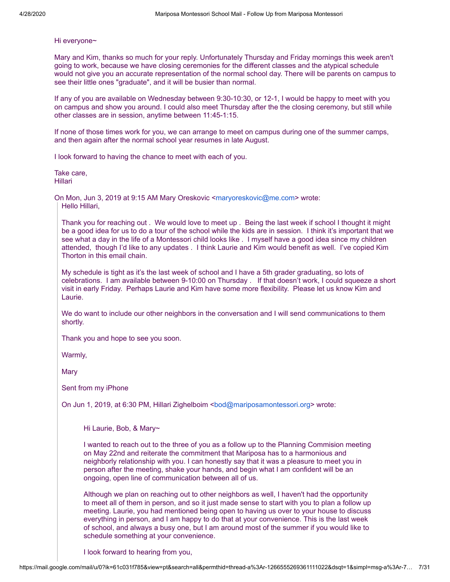## Hi everyone~

Mary and Kim, thanks so much for your reply. Unfortunately Thursday and Friday mornings this week aren't going to work, because we have closing ceremonies for the different classes and the atypical schedule would not give you an accurate representation of the normal school day. There will be parents on campus to see their little ones "graduate", and it will be busier than normal.

If any of you are available on Wednesday between 9:30-10:30, or 12-1, I would be happy to meet with you on campus and show you around. I could also meet Thursday after the the closing ceremony, but still while other classes are in session, anytime between 11:45-1:15.

If none of those times work for you, we can arrange to meet on campus during one of the summer camps, and then again after the normal school year resumes in late August.

I look forward to having the chance to meet with each of you.

Take care, Hillari

On Mon, Jun 3, 2019 at 9:15 AM Mary Oreskovic <[maryoreskovic@me.com](mailto:maryoreskovic@me.com)> wrote: Hello Hillari,

Thank you for reaching out . We would love to meet up . Being the last week if school I thought it might be a good idea for us to do a tour of the school while the kids are in session. I think it's important that we see what a day in the life of a Montessori child looks like . I myself have a good idea since my children attended, though I'd like to any updates . I think Laurie and Kim would benefit as well. I've copied Kim Thorton in this email chain.

My schedule is tight as it's the last week of school and I have a 5th grader graduating, so lots of celebrations. I am available between 9-10:00 on Thursday . If that doesn't work, I could squeeze a short visit in early Friday. Perhaps Laurie and Kim have some more flexibility. Please let us know Kim and Laurie.

We do want to include our other neighbors in the conversation and I will send communications to them shortly.

Thank you and hope to see you soon.

Warmly,

Mary

Sent from my iPhone

On Jun 1, 2019, at 6:30 PM, Hillari Zighelboim <br/>[bod@mariposamontessori.org>](mailto:bod@mariposamontessori.org) wrote:

Hi Laurie, Bob, & Mary~

I wanted to reach out to the three of you as a follow up to the Planning Commision meeting on May 22nd and reiterate the commitment that Mariposa has to a harmonious and neighborly relationship with you. I can honestly say that it was a pleasure to meet you in person after the meeting, shake your hands, and begin what I am confident will be an ongoing, open line of communication between all of us.

Although we plan on reaching out to other neighbors as well, I haven't had the opportunity to meet all of them in person, and so it just made sense to start with you to plan a follow up meeting. Laurie, you had mentioned being open to having us over to your house to discuss everything in person, and I am happy to do that at your convenience. This is the last week of school, and always a busy one, but I am around most of the summer if you would like to schedule something at your convenience.

I look forward to hearing from you,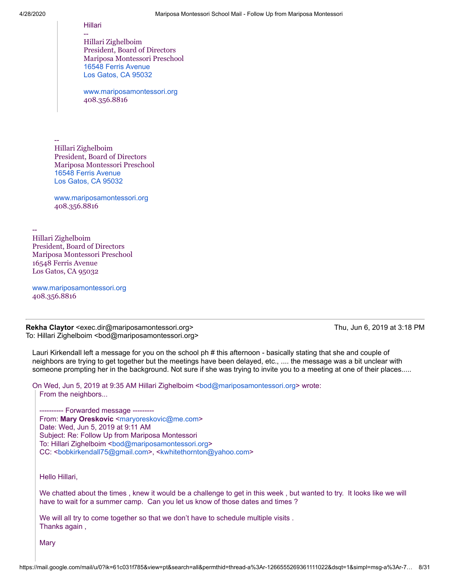--

#### Hillari

-- Hillari Zighelboim President, Board of Directors Mariposa Montessori Preschool [16548 Ferris Avenue](https://www.google.com/maps/search/16548+Ferris+Avenue+Los+Gatos,+CA+95032?entry=gmail&source=g) [Los Gatos, CA 95032](https://www.google.com/maps/search/16548+Ferris+Avenue+Los+Gatos,+CA+95032?entry=gmail&source=g)

[www.mariposamontessori.org](http://www.mariposamontessori.org/) 408.356.8816

-- Hillari Zighelboim President, Board of Directors Mariposa Montessori Preschool [16548 Ferris Avenue](https://www.google.com/maps/search/16548+Ferris+Avenue+Los+Gatos,+CA+95032?entry=gmail&source=g) [Los Gatos, CA 95032](https://www.google.com/maps/search/16548+Ferris+Avenue+Los+Gatos,+CA+95032?entry=gmail&source=g)

[www.mariposamontessori.org](http://www.mariposamontessori.org/) 408.356.8816

Hillari Zighelboim President, Board of Directors Mariposa Montessori Preschool 16548 Ferris Avenue Los Gatos, CA 95032

[www.mariposamontessori.org](http://www.mariposamontessori.org/) 408.356.8816

**Rekha Claytor** <exec.dir@mariposamontessori.org> Thu, Jun 6, 2019 at 3:18 PM To: Hillari Zighelboim <bod@mariposamontessori.org>

Lauri Kirkendall left a message for you on the school ph # this afternoon - basically stating that she and couple of neighbors are trying to get together but the meetings have been delayed, etc., .... the message was a bit unclear with someone prompting her in the background. Not sure if she was trying to invite you to a meeting at one of their places.....

On Wed, Jun 5, 2019 at 9:35 AM Hillari Zighelboim <[bod@mariposamontessori.org](mailto:bod@mariposamontessori.org)> wrote:

From the neighbors...

---------- Forwarded message --------- From: Mary Oreskovic [<maryoreskovic@me.com](mailto:maryoreskovic@me.com)> Date: Wed, Jun 5, 2019 at 9:11 AM Subject: Re: Follow Up from Mariposa Montessori To: Hillari Zighelboim <br/>[bod@mariposamontessori.org](mailto:bod@mariposamontessori.org)> CC: [<bobkirkendall75@gmail.com](mailto:bobkirkendall75@gmail.com)>, <[kwhitethornton@yahoo.com>](mailto:kwhitethornton@yahoo.com)

Hello Hillari,

We chatted about the times , knew it would be a challenge to get in this week , but wanted to try. It looks like we will have to wait for a summer camp. Can you let us know of those dates and times ?

We will all try to come together so that we don't have to schedule multiple visits . Thanks again ,

Mary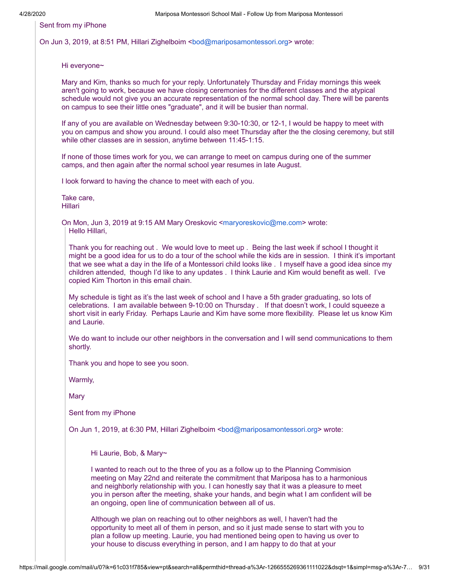Sent from my iPhone

On Jun 3, 2019, at 8:51 PM, Hillari Zighelboim <br/>[bod@mariposamontessori.org>](mailto:bod@mariposamontessori.org) wrote:

Hi everyone~

Mary and Kim, thanks so much for your reply. Unfortunately Thursday and Friday mornings this week aren't going to work, because we have closing ceremonies for the different classes and the atypical schedule would not give you an accurate representation of the normal school day. There will be parents on campus to see their little ones "graduate", and it will be busier than normal.

If any of you are available on Wednesday between 9:30-10:30, or 12-1, I would be happy to meet with you on campus and show you around. I could also meet Thursday after the the closing ceremony, but still while other classes are in session, anytime between 11:45-1:15.

If none of those times work for you, we can arrange to meet on campus during one of the summer camps, and then again after the normal school year resumes in late August.

I look forward to having the chance to meet with each of you.

Take care, Hillari

On Mon, Jun 3, 2019 at 9:15 AM Mary Oreskovic <[maryoreskovic@me.com>](mailto:maryoreskovic@me.com) wrote: Hello Hillari,

Thank you for reaching out . We would love to meet up . Being the last week if school I thought it might be a good idea for us to do a tour of the school while the kids are in session. I think it's important that we see what a day in the life of a Montessori child looks like . I myself have a good idea since my children attended, though I'd like to any updates . I think Laurie and Kim would benefit as well. I've copied Kim Thorton in this email chain.

My schedule is tight as it's the last week of school and I have a 5th grader graduating, so lots of celebrations. I am available between 9-10:00 on Thursday . If that doesn't work, I could squeeze a short visit in early Friday. Perhaps Laurie and Kim have some more flexibility. Please let us know Kim and Laurie.

We do want to include our other neighbors in the conversation and I will send communications to them shortly.

Thank you and hope to see you soon.

Warmly,

**Mary** 

Sent from my iPhone

On Jun 1, 2019, at 6:30 PM, Hillari Zighelboim <br/>bod@mariposamontessori.org> wrote:

Hi Laurie, Bob, & Mary~

I wanted to reach out to the three of you as a follow up to the Planning Commision meeting on May 22nd and reiterate the commitment that Mariposa has to a harmonious and neighborly relationship with you. I can honestly say that it was a pleasure to meet you in person after the meeting, shake your hands, and begin what I am confident will be an ongoing, open line of communication between all of us.

Although we plan on reaching out to other neighbors as well, I haven't had the opportunity to meet all of them in person, and so it just made sense to start with you to plan a follow up meeting. Laurie, you had mentioned being open to having us over to your house to discuss everything in person, and I am happy to do that at your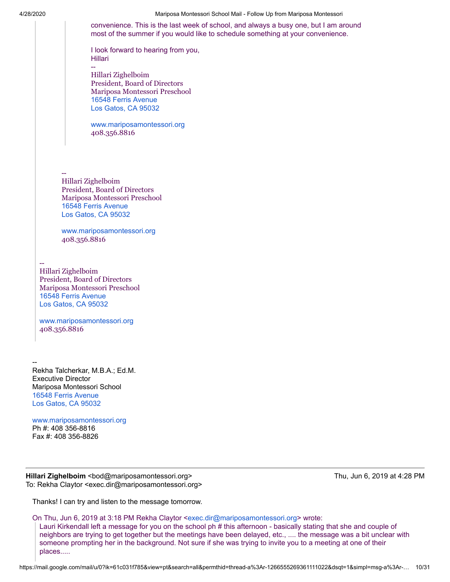4/28/2020 Mariposa Montessori School Mail - Follow Up from Mariposa Montessori convenience. This is the last week of school, and always a busy one, but I am around most of the summer if you would like to schedule something at your convenience. I look forward to hearing from you, Hillari -- Hillari Zighelboim President, Board of Directors Mariposa Montessori Preschool [16548 Ferris Avenue](https://www.google.com/maps/search/16548+Ferris+Avenue+Los+Gatos,+CA+95032?entry=gmail&source=g) [Los Gatos, CA 95032](https://www.google.com/maps/search/16548+Ferris+Avenue+Los+Gatos,+CA+95032?entry=gmail&source=g) [www.mariposamontessori.org](http://www.mariposamontessori.org/) 408.356.8816 Hillari Zighelboim President, Board of Directors Mariposa Montessori Preschool [16548 Ferris Avenue](https://www.google.com/maps/search/16548+Ferris+Avenue+Los+Gatos,+CA+95032?entry=gmail&source=g) [Los Gatos, CA 95032](https://www.google.com/maps/search/16548+Ferris+Avenue+Los+Gatos,+CA+95032?entry=gmail&source=g) [www.mariposamontessori.org](http://www.mariposamontessori.org/) 408.356.8816

-- Hillari Zighelboim President, Board of Directors Mariposa Montessori Preschool [16548 Ferris Avenue](https://www.google.com/maps/search/16548+Ferris+Avenue+Los+Gatos,+CA+95032?entry=gmail&source=g) [Los Gatos, CA 95032](https://www.google.com/maps/search/16548+Ferris+Avenue+Los+Gatos,+CA+95032?entry=gmail&source=g)

--

[www.mariposamontessori.org](http://www.mariposamontessori.org/) 408.356.8816

-- Rekha Talcherkar, M.B.A.; Ed.M. Executive Director Mariposa Montessori School [16548 Ferris Avenue](https://www.google.com/maps/search/16548+Ferris+Avenue+Los+Gatos,+CA+95032?entry=gmail&source=g) [Los Gatos, CA 95032](https://www.google.com/maps/search/16548+Ferris+Avenue+Los+Gatos,+CA+95032?entry=gmail&source=g)

[www.mariposamontessori.org](http://www.mariposamontessori.org/) Ph #: 408 356-8816 Fax #: 408 356-8826

**Hillari Zighelboim <bod@mariposamontessori.org> Thu, Jun 6, 2019 at 4:28 PM** To: Rekha Claytor <exec.dir@mariposamontessori.org>

Thanks! I can try and listen to the message tomorrow.

On Thu, Jun 6, 2019 at 3:18 PM Rekha Claytor <[exec.dir@mariposamontessori.org](mailto:exec.dir@mariposamontessori.org)> wrote:

Lauri Kirkendall left a message for you on the school ph # this afternoon - basically stating that she and couple of neighbors are trying to get together but the meetings have been delayed, etc., .... the message was a bit unclear with someone prompting her in the background. Not sure if she was trying to invite you to a meeting at one of their places.....

https://mail.google.com/mail/u/0?ik=61c031f785&view=pt&search=all&permthid=thread-a%3Ar-1266555269361111022&dsqt=1&simpl=msg-a%3Ar-… 10/31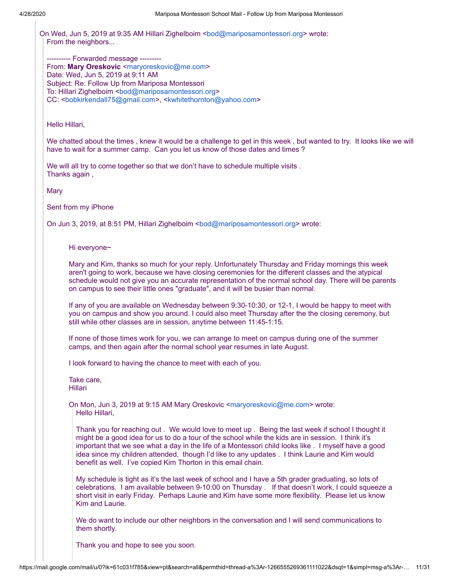On Wed, Jun 5, 2019 at 9:35 AM Hillari Zighelboim <[bod@mariposamontessori.org](mailto:bod@mariposamontessori.org)> wrote: From the neighbors...

---------- Forwarded message -------- From: Mary Oreskovic <[maryoreskovic@me.com](mailto:maryoreskovic@me.com)> Date: Wed, Jun 5, 2019 at 9:11 AM Subject: Re: Follow Up from Mariposa Montessori To: Hillari Zighelboim [<bod@mariposamontessori.org](mailto:bod@mariposamontessori.org)> CC: <[bobkirkendall75@gmail.com](mailto:bobkirkendall75@gmail.com)>, [<kwhitethornton@yahoo.com](mailto:kwhitethornton@yahoo.com)>

Hello Hillari,

We chatted about the times , knew it would be a challenge to get in this week , but wanted to try. It looks like we will have to wait for a summer camp. Can you let us know of those dates and times ?

We will all try to come together so that we don't have to schedule multiple visits . Thanks again ,

Mary

Sent from my iPhone

On Jun 3, 2019, at 8:51 PM, Hillari Zighelboim <br/>bod@mariposamontessori.org> wrote:

Hi everyone~

Mary and Kim, thanks so much for your reply. Unfortunately Thursday and Friday mornings this week aren't going to work, because we have closing ceremonies for the different classes and the atypical schedule would not give you an accurate representation of the normal school day. There will be parents on campus to see their little ones "graduate", and it will be busier than normal.

If any of you are available on Wednesday between 9:30-10:30, or 12-1, I would be happy to meet with you on campus and show you around. I could also meet Thursday after the the closing ceremony, but still while other classes are in session, anytime between 11:45-1:15.

If none of those times work for you, we can arrange to meet on campus during one of the summer camps, and then again after the normal school year resumes in late August.

I look forward to having the chance to meet with each of you.

Take care, Hillari

On Mon, Jun 3, 2019 at 9:15 AM Mary Oreskovic [<maryoreskovic@me.com](mailto:maryoreskovic@me.com)> wrote: Hello Hillari,

Thank you for reaching out . We would love to meet up . Being the last week if school I thought it might be a good idea for us to do a tour of the school while the kids are in session. I think it's important that we see what a day in the life of a Montessori child looks like . I myself have a good idea since my children attended, though I'd like to any updates . I think Laurie and Kim would benefit as well. I've copied Kim Thorton in this email chain.

My schedule is tight as it's the last week of school and I have a 5th grader graduating, so lots of celebrations. I am available between 9-10:00 on Thursday . If that doesn't work, I could squeeze a short visit in early Friday. Perhaps Laurie and Kim have some more flexibility. Please let us know Kim and Laurie.

We do want to include our other neighbors in the conversation and I will send communications to them shortly.

Thank you and hope to see you soon.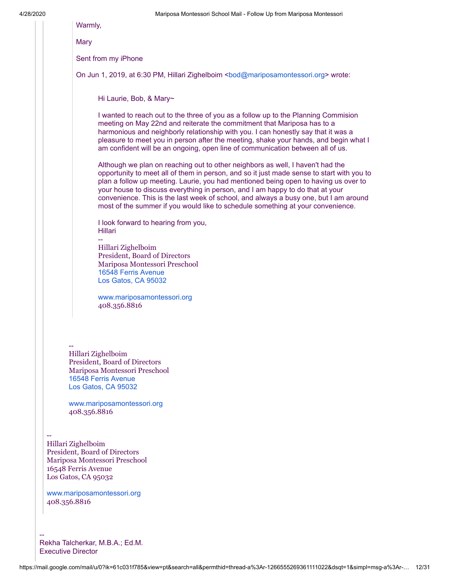Warmly,

Mary

Sent from my iPhone

On Jun 1, 2019, at 6:30 PM, Hillari Zighelboim [<bod@mariposamontessori.org](mailto:bod@mariposamontessori.org)> wrote:

Hi Laurie, Bob, & Mary~

I wanted to reach out to the three of you as a follow up to the Planning Commision meeting on May 22nd and reiterate the commitment that Mariposa has to a harmonious and neighborly relationship with you. I can honestly say that it was a pleasure to meet you in person after the meeting, shake your hands, and begin what I am confident will be an ongoing, open line of communication between all of us.

Although we plan on reaching out to other neighbors as well, I haven't had the opportunity to meet all of them in person, and so it just made sense to start with you to plan a follow up meeting. Laurie, you had mentioned being open to having us over to your house to discuss everything in person, and I am happy to do that at your convenience. This is the last week of school, and always a busy one, but I am around most of the summer if you would like to schedule something at your convenience.

I look forward to hearing from you, Hillari

Hillari Zighelboim President, Board of Directors Mariposa Montessori Preschool [16548 Ferris Avenue](https://www.google.com/maps/search/16548+Ferris+Avenue+Los+Gatos,+CA+95032?entry=gmail&source=g) [Los Gatos, CA 95032](https://www.google.com/maps/search/16548+Ferris+Avenue+Los+Gatos,+CA+95032?entry=gmail&source=g)

[www.mariposamontessori.org](http://www.mariposamontessori.org/) 408.356.8816

Hillari Zighelboim President, Board of Directors Mariposa Montessori Preschool [16548 Ferris Avenue](https://www.google.com/maps/search/16548+Ferris+Avenue+Los+Gatos,+CA+95032?entry=gmail&source=g) [Los Gatos, CA 95032](https://www.google.com/maps/search/16548+Ferris+Avenue+Los+Gatos,+CA+95032?entry=gmail&source=g)

--

[www.mariposamontessori.org](http://www.mariposamontessori.org/) 408.356.8816

-- Hillari Zighelboim President, Board of Directors Mariposa Montessori Preschool 16548 Ferris Avenue Los Gatos, CA 95032

--

[www.mariposamontessori.org](http://www.mariposamontessori.org/) 408.356.8816

Rekha Talcherkar, M.B.A.; Ed.M. Executive Director

--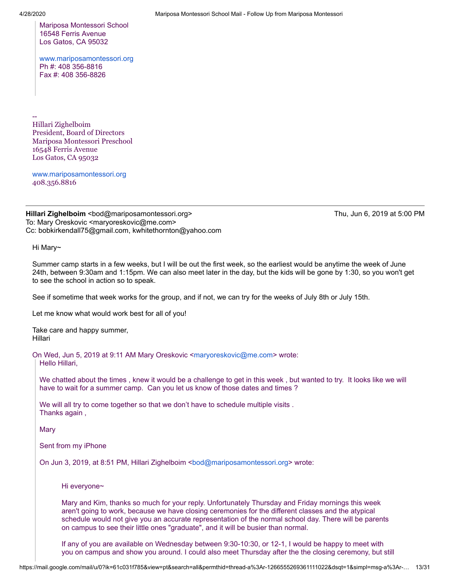Mariposa Montessori School 16548 Ferris Avenue Los Gatos, CA 95032

[www.mariposamontessori.org](http://www.mariposamontessori.org/) Ph #: 408 356-8816 Fax #: 408 356-8826

-- Hillari Zighelboim President, Board of Directors Mariposa Montessori Preschool 16548 Ferris Avenue Los Gatos, CA 95032

[www.mariposamontessori.org](http://www.mariposamontessori.org/) 408.356.8816

**Hillari Zighelboim** <bod@mariposamontessori.org> Thu, Jun 6, 2019 at 5:00 PM To: Mary Oreskovic <maryoreskovic@me.com> Cc: bobkirkendall75@gmail.com, kwhitethornton@yahoo.com

Hi Mary~

Summer camp starts in a few weeks, but I will be out the first week, so the earliest would be anytime the week of June 24th, between 9:30am and 1:15pm. We can also meet later in the day, but the kids will be gone by 1:30, so you won't get to see the school in action so to speak.

See if sometime that week works for the group, and if not, we can try for the weeks of July 8th or July 15th.

Let me know what would work best for all of you!

Take care and happy summer, Hillari

On Wed, Jun 5, 2019 at 9:11 AM Mary Oreskovic <[maryoreskovic@me.com](mailto:maryoreskovic@me.com)> wrote:

Hello Hillari,

We chatted about the times , knew it would be a challenge to get in this week , but wanted to try. It looks like we will have to wait for a summer camp. Can you let us know of those dates and times ?

We will all try to come together so that we don't have to schedule multiple visits. Thanks again ,

Mary

Sent from my iPhone

On Jun 3, 2019, at 8:51 PM, Hillari Zighelboim <br/>[bod@mariposamontessori.org>](mailto:bod@mariposamontessori.org) wrote:

Hi everyone~

Mary and Kim, thanks so much for your reply. Unfortunately Thursday and Friday mornings this week aren't going to work, because we have closing ceremonies for the different classes and the atypical schedule would not give you an accurate representation of the normal school day. There will be parents on campus to see their little ones "graduate", and it will be busier than normal.

If any of you are available on Wednesday between 9:30-10:30, or 12-1, I would be happy to meet with you on campus and show you around. I could also meet Thursday after the the closing ceremony, but still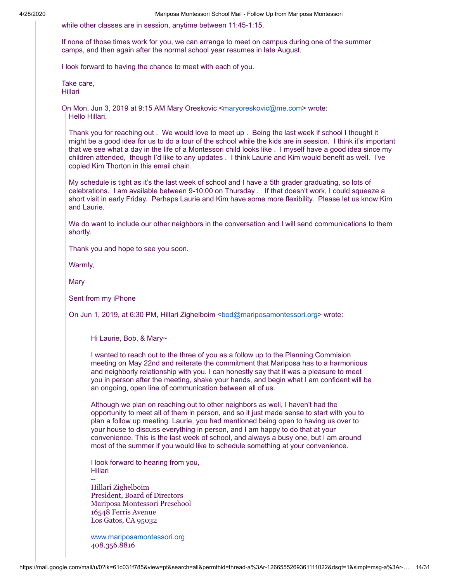while other classes are in session, anytime between 11:45-1:15.

If none of those times work for you, we can arrange to meet on campus during one of the summer camps, and then again after the normal school year resumes in late August.

I look forward to having the chance to meet with each of you.

Take care, Hillari

On Mon, Jun 3, 2019 at 9:15 AM Mary Oreskovic <[maryoreskovic@me.com>](mailto:maryoreskovic@me.com) wrote: Hello Hillari,

Thank you for reaching out . We would love to meet up . Being the last week if school I thought it might be a good idea for us to do a tour of the school while the kids are in session. I think it's important that we see what a day in the life of a Montessori child looks like . I myself have a good idea since my children attended, though I'd like to any updates . I think Laurie and Kim would benefit as well. I've copied Kim Thorton in this email chain.

My schedule is tight as it's the last week of school and I have a 5th grader graduating, so lots of celebrations. I am available between 9-10:00 on Thursday . If that doesn't work, I could squeeze a short visit in early Friday. Perhaps Laurie and Kim have some more flexibility. Please let us know Kim and Laurie.

We do want to include our other neighbors in the conversation and I will send communications to them shortly.

Thank you and hope to see you soon.

Warmly,

**Mary** 

Sent from my iPhone

On Jun 1, 2019, at 6:30 PM, Hillari Zighelboim [<bod@mariposamontessori.org](mailto:bod@mariposamontessori.org)> wrote:

Hi Laurie, Bob, & Mary~

I wanted to reach out to the three of you as a follow up to the Planning Commision meeting on May 22nd and reiterate the commitment that Mariposa has to a harmonious and neighborly relationship with you. I can honestly say that it was a pleasure to meet you in person after the meeting, shake your hands, and begin what I am confident will be an ongoing, open line of communication between all of us.

Although we plan on reaching out to other neighbors as well, I haven't had the opportunity to meet all of them in person, and so it just made sense to start with you to plan a follow up meeting. Laurie, you had mentioned being open to having us over to your house to discuss everything in person, and I am happy to do that at your convenience. This is the last week of school, and always a busy one, but I am around most of the summer if you would like to schedule something at your convenience.

I look forward to hearing from you, Hillari --

Hillari Zighelboim President, Board of Directors Mariposa Montessori Preschool 16548 Ferris Avenue Los Gatos, CA 95032

[www.mariposamontessori.org](http://www.mariposamontessori.org/) 408.356.8816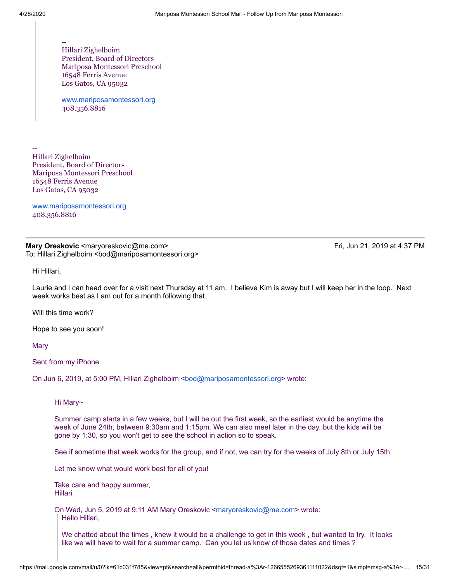--

-- Hillari Zighelboim President, Board of Directors Mariposa Montessori Preschool 16548 Ferris Avenue Los Gatos, CA 95032

[www.mariposamontessori.org](http://www.mariposamontessori.org/) 408.356.8816

Hillari Zighelboim President, Board of Directors Mariposa Montessori Preschool 16548 Ferris Avenue Los Gatos, CA 95032

[www.mariposamontessori.org](http://www.mariposamontessori.org/) 408.356.8816

## **Mary Oreskovic <maryoreskovic@me.com>** Fri, Jun 21, 2019 at 4:37 PM To: Hillari Zighelboim <bod@mariposamontessori.org>

Hi Hillari,

Laurie and I can head over for a visit next Thursday at 11 am. I believe Kim is away but I will keep her in the loop. Next week works best as I am out for a month following that.

Will this time work?

Hope to see you soon!

**Mary** 

Sent from my iPhone

On Jun 6, 2019, at 5:00 PM, Hillari Zighelboim <[bod@mariposamontessori.org](mailto:bod@mariposamontessori.org)> wrote:

Hi Mary~

Summer camp starts in a few weeks, but I will be out the first week, so the earliest would be anytime the week of June 24th, between 9:30am and 1:15pm. We can also meet later in the day, but the kids will be gone by 1:30, so you won't get to see the school in action so to speak.

See if sometime that week works for the group, and if not, we can try for the weeks of July 8th or July 15th.

Let me know what would work best for all of you!

Take care and happy summer, Hillari

On Wed, Jun 5, 2019 at 9:11 AM Mary Oreskovic <[maryoreskovic@me.com](mailto:maryoreskovic@me.com)> wrote: Hello Hillari,

We chatted about the times , knew it would be a challenge to get in this week , but wanted to try. It looks like we will have to wait for a summer camp. Can you let us know of those dates and times ?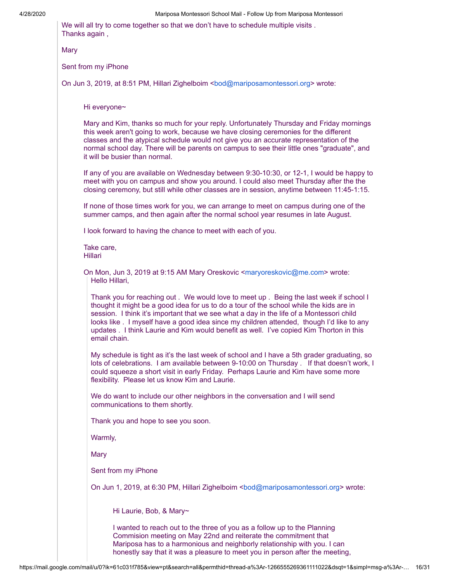We will all try to come together so that we don't have to schedule multiple visits. Thanks again ,

Mary

Sent from my iPhone

On Jun 3, 2019, at 8:51 PM, Hillari Zighelboim <br/>[bod@mariposamontessori.org>](mailto:bod@mariposamontessori.org) wrote:

### Hi everyone~

Mary and Kim, thanks so much for your reply. Unfortunately Thursday and Friday mornings this week aren't going to work, because we have closing ceremonies for the different classes and the atypical schedule would not give you an accurate representation of the normal school day. There will be parents on campus to see their little ones "graduate", and it will be busier than normal.

If any of you are available on Wednesday between 9:30-10:30, or 12-1, I would be happy to meet with you on campus and show you around. I could also meet Thursday after the the closing ceremony, but still while other classes are in session, anytime between 11:45-1:15.

If none of those times work for you, we can arrange to meet on campus during one of the summer camps, and then again after the normal school year resumes in late August.

I look forward to having the chance to meet with each of you.

Take care, Hillari

On Mon, Jun 3, 2019 at 9:15 AM Mary Oreskovic <[maryoreskovic@me.com>](mailto:maryoreskovic@me.com) wrote: Hello Hillari,

Thank you for reaching out . We would love to meet up . Being the last week if school I thought it might be a good idea for us to do a tour of the school while the kids are in session. I think it's important that we see what a day in the life of a Montessori child looks like . I myself have a good idea since my children attended, though I'd like to any updates . I think Laurie and Kim would benefit as well. I've copied Kim Thorton in this email chain.

My schedule is tight as it's the last week of school and I have a 5th grader graduating, so lots of celebrations. I am available between 9-10:00 on Thursday . If that doesn't work, I could squeeze a short visit in early Friday. Perhaps Laurie and Kim have some more flexibility. Please let us know Kim and Laurie.

We do want to include our other neighbors in the conversation and I will send communications to them shortly.

Thank you and hope to see you soon.

Warmly,

Mary

Sent from my iPhone

On Jun 1, 2019, at 6:30 PM, Hillari Zighelboim [<bod@mariposamontessori.org](mailto:bod@mariposamontessori.org)> wrote:

Hi Laurie, Bob, & Mary~

I wanted to reach out to the three of you as a follow up to the Planning Commision meeting on May 22nd and reiterate the commitment that Mariposa has to a harmonious and neighborly relationship with you. I can honestly say that it was a pleasure to meet you in person after the meeting,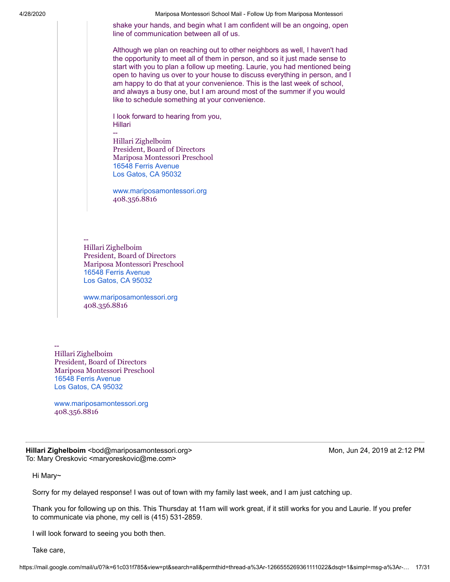shake your hands, and begin what I am confident will be an ongoing, open line of communication between all of us.

Although we plan on reaching out to other neighbors as well, I haven't had the opportunity to meet all of them in person, and so it just made sense to start with you to plan a follow up meeting. Laurie, you had mentioned being open to having us over to your house to discuss everything in person, and I am happy to do that at your convenience. This is the last week of school, and always a busy one, but I am around most of the summer if you would like to schedule something at your convenience.

I look forward to hearing from you, Hillari

Hillari Zighelboim President, Board of Directors Mariposa Montessori Preschool [16548 Ferris Avenue](https://www.google.com/maps/search/16548+Ferris+Avenue+Los+Gatos,+CA+95032?entry=gmail&source=g) [Los Gatos, CA 95032](https://www.google.com/maps/search/16548+Ferris+Avenue+Los+Gatos,+CA+95032?entry=gmail&source=g)

[www.mariposamontessori.org](http://www.mariposamontessori.org/) 408.356.8816

-- Hillari Zighelboim President, Board of Directors Mariposa Montessori Preschool [16548 Ferris Avenue](https://www.google.com/maps/search/16548+Ferris+Avenue+Los+Gatos,+CA+95032?entry=gmail&source=g) [Los Gatos, CA 95032](https://www.google.com/maps/search/16548+Ferris+Avenue+Los+Gatos,+CA+95032?entry=gmail&source=g)

--

[www.mariposamontessori.org](http://www.mariposamontessori.org/) 408.356.8816

-- Hillari Zighelboim President, Board of Directors Mariposa Montessori Preschool [16548 Ferris Avenue](https://www.google.com/maps/search/16548+Ferris+Avenue+Los+Gatos,+CA+95032?entry=gmail&source=g) [Los Gatos, CA 95032](https://www.google.com/maps/search/16548+Ferris+Avenue+Los+Gatos,+CA+95032?entry=gmail&source=g)

[www.mariposamontessori.org](http://www.mariposamontessori.org/) 408.356.8816

**Hillari Zighelboim** <bod@mariposamontessori.org> Montangle 2:12 PM Mon, Jun 24, 2019 at 2:12 PM To: Mary Oreskovic <maryoreskovic@me.com>

Hi Mary~

Sorry for my delayed response! I was out of town with my family last week, and I am just catching up.

Thank you for following up on this. This Thursday at 11am will work great, if it still works for you and Laurie. If you prefer to communicate via phone, my cell is (415) 531-2859.

I will look forward to seeing you both then.

Take care,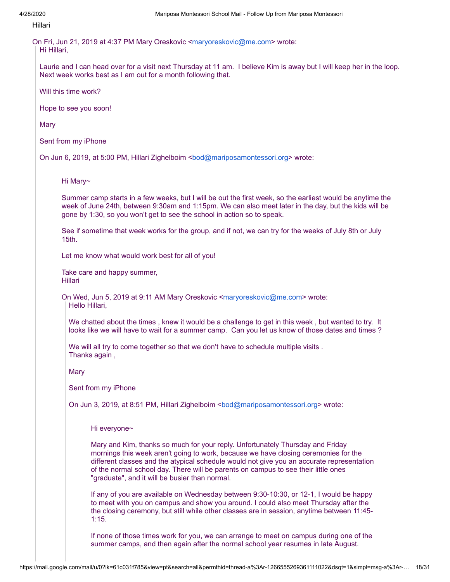## Hillari

On Fri, Jun 21, 2019 at 4:37 PM Mary Oreskovic <[maryoreskovic@me.com>](mailto:maryoreskovic@me.com) wrote: Hi Hillari,

Laurie and I can head over for a visit next Thursday at 11 am. I believe Kim is away but I will keep her in the loop. Next week works best as I am out for a month following that.

Will this time work?

Hope to see you soon!

**Mary** 

Sent from my iPhone

On Jun 6, 2019, at 5:00 PM, Hillari Zighelboim <[bod@mariposamontessori.org>](mailto:bod@mariposamontessori.org) wrote:

## Hi Mary~

Summer camp starts in a few weeks, but I will be out the first week, so the earliest would be anytime the week of June 24th, between 9:30am and 1:15pm. We can also meet later in the day, but the kids will be gone by 1:30, so you won't get to see the school in action so to speak.

See if sometime that week works for the group, and if not, we can try for the weeks of July 8th or July 15th.

Let me know what would work best for all of you!

Take care and happy summer, Hillari

On Wed, Jun 5, 2019 at 9:11 AM Mary Oreskovic <[maryoreskovic@me.com>](mailto:maryoreskovic@me.com) wrote: Hello Hillari,

We chatted about the times , knew it would be a challenge to get in this week , but wanted to try. It looks like we will have to wait for a summer camp. Can you let us know of those dates and times ?

We will all try to come together so that we don't have to schedule multiple visits . Thanks again ,

Mary

Sent from my iPhone

On Jun 3, 2019, at 8:51 PM, Hillari Zighelboim [<bod@mariposamontessori.org](mailto:bod@mariposamontessori.org)> wrote:

Hi everyone~

Mary and Kim, thanks so much for your reply. Unfortunately Thursday and Friday mornings this week aren't going to work, because we have closing ceremonies for the different classes and the atypical schedule would not give you an accurate representation of the normal school day. There will be parents on campus to see their little ones "graduate", and it will be busier than normal.

If any of you are available on Wednesday between 9:30-10:30, or 12-1, I would be happy to meet with you on campus and show you around. I could also meet Thursday after the the closing ceremony, but still while other classes are in session, anytime between 11:45- 1:15.

If none of those times work for you, we can arrange to meet on campus during one of the summer camps, and then again after the normal school year resumes in late August.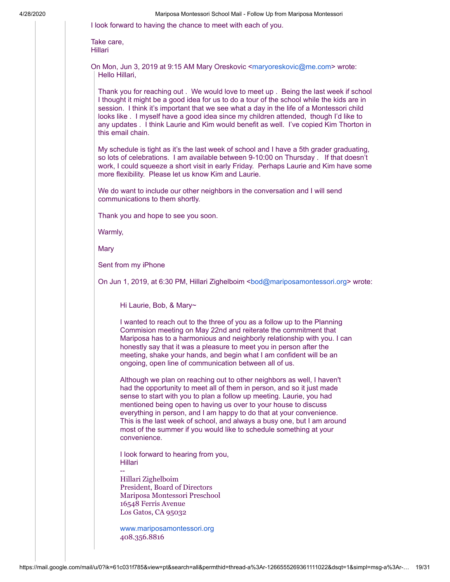I look forward to having the chance to meet with each of you.

Take care, Hillari

On Mon, Jun 3, 2019 at 9:15 AM Mary Oreskovic [<maryoreskovic@me.com](mailto:maryoreskovic@me.com)> wrote: Hello Hillari,

Thank you for reaching out . We would love to meet up . Being the last week if school I thought it might be a good idea for us to do a tour of the school while the kids are in session. I think it's important that we see what a day in the life of a Montessori child looks like . I myself have a good idea since my children attended, though I'd like to any updates . I think Laurie and Kim would benefit as well. I've copied Kim Thorton in this email chain.

My schedule is tight as it's the last week of school and I have a 5th grader graduating, so lots of celebrations. I am available between 9-10:00 on Thursday . If that doesn't work, I could squeeze a short visit in early Friday. Perhaps Laurie and Kim have some more flexibility. Please let us know Kim and Laurie.

We do want to include our other neighbors in the conversation and I will send communications to them shortly.

Thank you and hope to see you soon.

Warmly,

Mary

Sent from my iPhone

--

On Jun 1, 2019, at 6:30 PM, Hillari Zighelboim <br/>bod@mariposamontessori.org> wrote:

Hi Laurie, Bob, & Mary~

I wanted to reach out to the three of you as a follow up to the Planning Commision meeting on May 22nd and reiterate the commitment that Mariposa has to a harmonious and neighborly relationship with you. I can honestly say that it was a pleasure to meet you in person after the meeting, shake your hands, and begin what I am confident will be an ongoing, open line of communication between all of us.

Although we plan on reaching out to other neighbors as well, I haven't had the opportunity to meet all of them in person, and so it just made sense to start with you to plan a follow up meeting. Laurie, you had mentioned being open to having us over to your house to discuss everything in person, and I am happy to do that at your convenience. This is the last week of school, and always a busy one, but I am around most of the summer if you would like to schedule something at your convenience.

I look forward to hearing from you, Hillari

Hillari Zighelboim President, Board of Directors Mariposa Montessori Preschool 16548 Ferris Avenue Los Gatos, CA 95032

[www.mariposamontessori.org](http://www.mariposamontessori.org/) 408.356.8816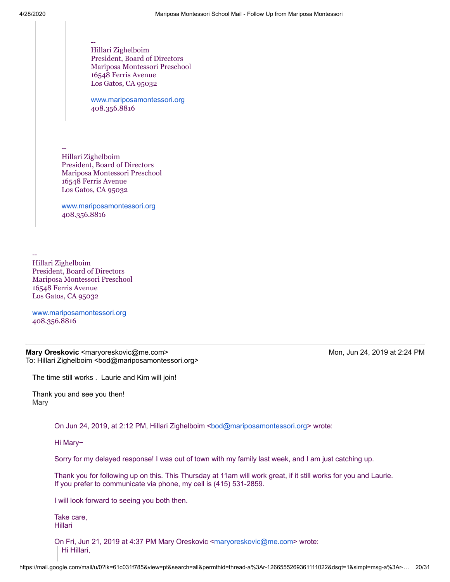-- Hillari Zighelboim President, Board of Directors Mariposa Montessori Preschool 16548 Ferris Avenue Los Gatos, CA 95032

[www.mariposamontessori.org](http://www.mariposamontessori.org/) 408.356.8816

-- Hillari Zighelboim President, Board of Directors Mariposa Montessori Preschool 16548 Ferris Avenue Los Gatos, CA 95032

[www.mariposamontessori.org](http://www.mariposamontessori.org/) 408.356.8816

Hillari Zighelboim President, Board of Directors Mariposa Montessori Preschool 16548 Ferris Avenue Los Gatos, CA 95032

--

[www.mariposamontessori.org](http://www.mariposamontessori.org/) 408.356.8816

**Mary Oreskovic** <maryoreskovic@me.com> Mon, Jun 24, 2019 at 2:24 PM To: Hillari Zighelboim <bod@mariposamontessori.org>

The time still works . Laurie and Kim will join!

Thank you and see you then! Mary

On Jun 24, 2019, at 2:12 PM, Hillari Zighelboim <br/>bod@mariposamontessori.org> wrote:

Hi Mary~

Sorry for my delayed response! I was out of town with my family last week, and I am just catching up.

Thank you for following up on this. This Thursday at 11am will work great, if it still works for you and Laurie. If you prefer to communicate via phone, my cell is (415) 531-2859.

I will look forward to seeing you both then.

Take care, Hillari

On Fri, Jun 21, 2019 at 4:37 PM Mary Oreskovic <[maryoreskovic@me.com>](mailto:maryoreskovic@me.com) wrote: Hi Hillari,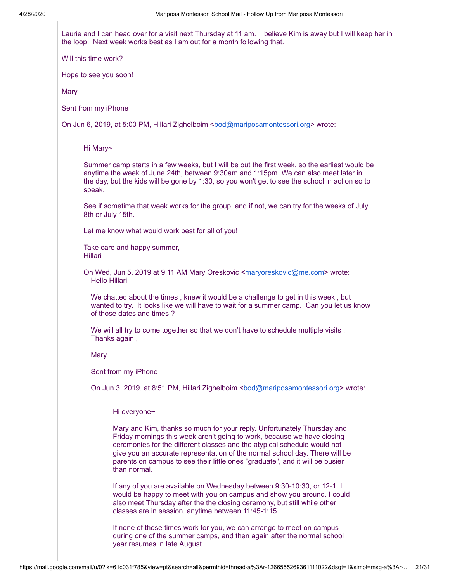Laurie and I can head over for a visit next Thursday at 11 am. I believe Kim is away but I will keep her in the loop. Next week works best as I am out for a month following that.

Will this time work?

Hope to see you soon!

**Mary** 

Sent from my iPhone

On Jun 6, 2019, at 5:00 PM, Hillari Zighelboim <[bod@mariposamontessori.org>](mailto:bod@mariposamontessori.org) wrote:

Hi Mary~

Summer camp starts in a few weeks, but I will be out the first week, so the earliest would be anytime the week of June 24th, between 9:30am and 1:15pm. We can also meet later in the day, but the kids will be gone by 1:30, so you won't get to see the school in action so to speak.

See if sometime that week works for the group, and if not, we can try for the weeks of July 8th or July 15th.

Let me know what would work best for all of you!

Take care and happy summer, Hillari

On Wed, Jun 5, 2019 at 9:11 AM Mary Oreskovic <[maryoreskovic@me.com>](mailto:maryoreskovic@me.com) wrote: Hello Hillari,

We chatted about the times , knew it would be a challenge to get in this week , but wanted to try. It looks like we will have to wait for a summer camp. Can you let us know of those dates and times ?

We will all try to come together so that we don't have to schedule multiple visits . Thanks again ,

**Mary** 

Sent from my iPhone

On Jun 3, 2019, at 8:51 PM, Hillari Zighelboim [<bod@mariposamontessori.org](mailto:bod@mariposamontessori.org)> wrote:

Hi everyone~

Mary and Kim, thanks so much for your reply. Unfortunately Thursday and Friday mornings this week aren't going to work, because we have closing ceremonies for the different classes and the atypical schedule would not give you an accurate representation of the normal school day. There will be parents on campus to see their little ones "graduate", and it will be busier than normal.

If any of you are available on Wednesday between 9:30-10:30, or 12-1, I would be happy to meet with you on campus and show you around. I could also meet Thursday after the the closing ceremony, but still while other classes are in session, anytime between 11:45-1:15.

If none of those times work for you, we can arrange to meet on campus during one of the summer camps, and then again after the normal school year resumes in late August.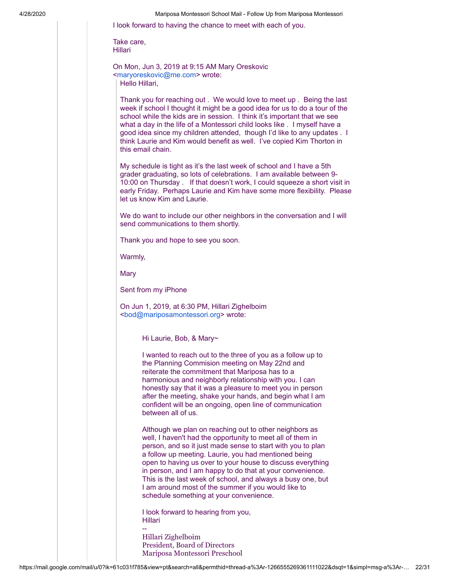I look forward to having the chance to meet with each of you.

Take care, Hillari

On Mon, Jun 3, 2019 at 9:15 AM Mary Oreskovic [<maryoreskovic@me.com>](mailto:maryoreskovic@me.com) wrote: Hello Hillari,

Thank you for reaching out . We would love to meet up . Being the last week if school I thought it might be a good idea for us to do a tour of the school while the kids are in session. I think it's important that we see what a day in the life of a Montessori child looks like . I myself have a good idea since my children attended, though I'd like to any updates . I think Laurie and Kim would benefit as well. I've copied Kim Thorton in this email chain.

My schedule is tight as it's the last week of school and I have a 5th grader graduating, so lots of celebrations. I am available between 9- 10:00 on Thursday . If that doesn't work, I could squeeze a short visit in early Friday. Perhaps Laurie and Kim have some more flexibility. Please let us know Kim and Laurie.

We do want to include our other neighbors in the conversation and I will send communications to them shortly.

Thank you and hope to see you soon.

Warmly,

**Mary** 

Sent from my iPhone

On Jun 1, 2019, at 6:30 PM, Hillari Zighelboim [<bod@mariposamontessori.org>](mailto:bod@mariposamontessori.org) wrote:

Hi Laurie, Bob, & Mary~

I wanted to reach out to the three of you as a follow up to the Planning Commision meeting on May 22nd and reiterate the commitment that Mariposa has to a harmonious and neighborly relationship with you. I can honestly say that it was a pleasure to meet you in person after the meeting, shake your hands, and begin what I am confident will be an ongoing, open line of communication between all of us.

Although we plan on reaching out to other neighbors as well, I haven't had the opportunity to meet all of them in person, and so it just made sense to start with you to plan a follow up meeting. Laurie, you had mentioned being open to having us over to your house to discuss everything in person, and I am happy to do that at your convenience. This is the last week of school, and always a busy one, but I am around most of the summer if you would like to schedule something at your convenience.

I look forward to hearing from you, Hillari

-- Hillari Zighelboim President, Board of Directors Mariposa Montessori Preschool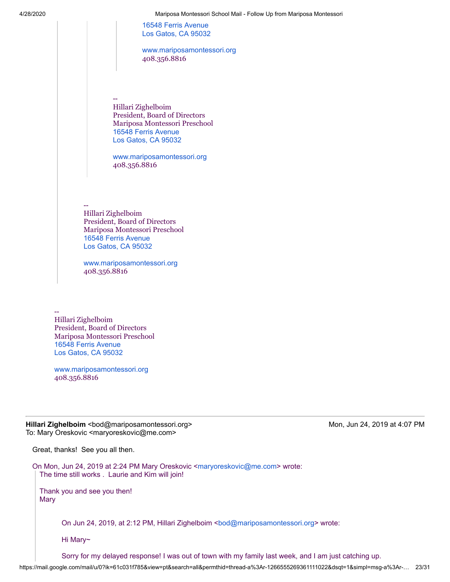4/28/2020 Mariposa Montessori School Mail - Follow Up from Mariposa Montessori [16548 Ferris Avenue](https://www.google.com/maps/search/16548+Ferris+Avenue+Los+Gatos,+CA+95032?entry=gmail&source=g) [Los Gatos, CA 95032](https://www.google.com/maps/search/16548+Ferris+Avenue+Los+Gatos,+CA+95032?entry=gmail&source=g) [www.mariposamontessori.org](http://www.mariposamontessori.org/) 408.356.8816 -- Hillari Zighelboim President, Board of Directors Mariposa Montessori Preschool [16548 Ferris Avenue](https://www.google.com/maps/search/16548+Ferris+Avenue+Los+Gatos,+CA+95032?entry=gmail&source=g) [Los Gatos, CA 95032](https://www.google.com/maps/search/16548+Ferris+Avenue+Los+Gatos,+CA+95032?entry=gmail&source=g) [www.mariposamontessori.org](http://www.mariposamontessori.org/) 408.356.8816 -- Hillari Zighelboim President, Board of Directors Mariposa Montessori Preschool [16548 Ferris Avenue](https://www.google.com/maps/search/16548+Ferris+Avenue+Los+Gatos,+CA+95032?entry=gmail&source=g) [Los Gatos, CA 95032](https://www.google.com/maps/search/16548+Ferris+Avenue+Los+Gatos,+CA+95032?entry=gmail&source=g) [www.mariposamontessori.org](http://www.mariposamontessori.org/) 408.356.8816

> -- Hillari Zighelboim President, Board of Directors Mariposa Montessori Preschool [16548 Ferris Avenue](https://www.google.com/maps/search/16548+Ferris+Avenue+Los+Gatos,+CA+95032?entry=gmail&source=g) [Los Gatos, CA 95032](https://www.google.com/maps/search/16548+Ferris+Avenue+Los+Gatos,+CA+95032?entry=gmail&source=g)

[www.mariposamontessori.org](http://www.mariposamontessori.org/) 408.356.8816

**Hillari Zighelboim <bod@mariposamontessori.org> Monumedia American Monumedia 24, 2019 at 4:07 PM** To: Mary Oreskovic <maryoreskovic@me.com>

Great, thanks! See you all then.

On Mon, Jun 24, 2019 at 2:24 PM Mary Oreskovic <[maryoreskovic@me.com](mailto:maryoreskovic@me.com)> wrote: The time still works . Laurie and Kim will join!

Thank you and see you then! Mary

On Jun 24, 2019, at 2:12 PM, Hillari Zighelboim <br/>[bod@mariposamontessori.org>](mailto:bod@mariposamontessori.org) wrote:

Hi Mary~

Sorry for my delayed response! I was out of town with my family last week, and I am just catching up.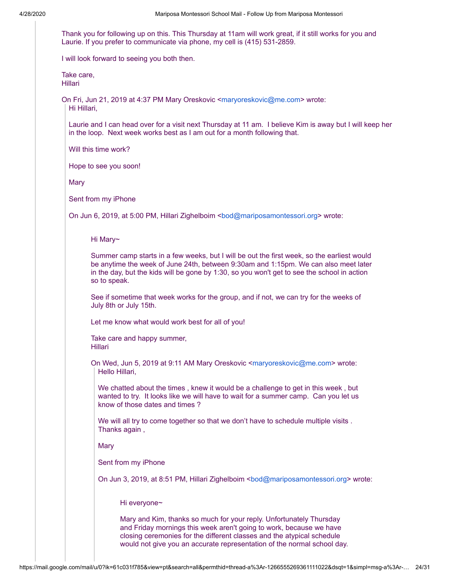Thank you for following up on this. This Thursday at 11am will work great, if it still works for you and Laurie. If you prefer to communicate via phone, my cell is (415) 531-2859.

I will look forward to seeing you both then.

Take care, Hillari

On Fri, Jun 21, 2019 at 4:37 PM Mary Oreskovic [<maryoreskovic@me.com](mailto:maryoreskovic@me.com)> wrote: Hi Hillari,

Laurie and I can head over for a visit next Thursday at 11 am. I believe Kim is away but I will keep her in the loop. Next week works best as I am out for a month following that.

Will this time work?

Hope to see you soon!

**Mary** 

Sent from my iPhone

On Jun 6, 2019, at 5:00 PM, Hillari Zighelboim <br/>bod@mariposamontessori.org> wrote:

Hi Mary~

Summer camp starts in a few weeks, but I will be out the first week, so the earliest would be anytime the week of June 24th, between 9:30am and 1:15pm. We can also meet later in the day, but the kids will be gone by 1:30, so you won't get to see the school in action so to speak.

See if sometime that week works for the group, and if not, we can try for the weeks of July 8th or July 15th.

Let me know what would work best for all of you!

Take care and happy summer, Hillari

On Wed, Jun 5, 2019 at 9:11 AM Mary Oreskovic [<maryoreskovic@me.com](mailto:maryoreskovic@me.com)> wrote: Hello Hillari,

We chatted about the times , knew it would be a challenge to get in this week , but wanted to try. It looks like we will have to wait for a summer camp. Can you let us know of those dates and times ?

We will all try to come together so that we don't have to schedule multiple visits . Thanks again ,

Mary

Sent from my iPhone

On Jun 3, 2019, at 8:51 PM, Hillari Zighelboim <br/>bod@mariposamontessori.org> wrote:

Hi everyone~

Mary and Kim, thanks so much for your reply. Unfortunately Thursday and Friday mornings this week aren't going to work, because we have closing ceremonies for the different classes and the atypical schedule would not give you an accurate representation of the normal school day.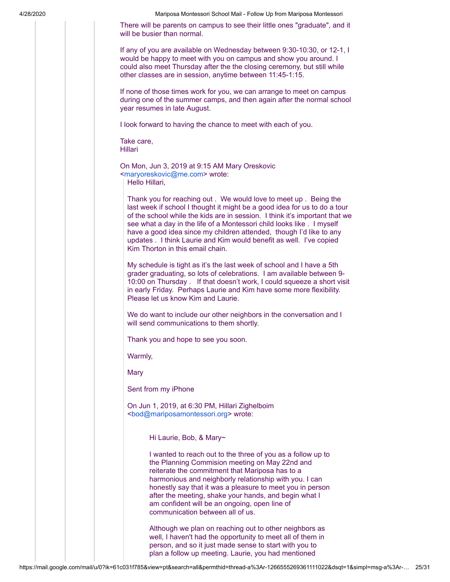There will be parents on campus to see their little ones "graduate", and it will be busier than normal.

If any of you are available on Wednesday between 9:30-10:30, or 12-1, I would be happy to meet with you on campus and show you around. I could also meet Thursday after the the closing ceremony, but still while other classes are in session, anytime between 11:45-1:15.

If none of those times work for you, we can arrange to meet on campus during one of the summer camps, and then again after the normal school year resumes in late August.

I look forward to having the chance to meet with each of you.

Take care, Hillari

On Mon, Jun 3, 2019 at 9:15 AM Mary Oreskovic [<maryoreskovic@me.com](mailto:maryoreskovic@me.com)> wrote:

Hello Hillari,

Thank you for reaching out . We would love to meet up . Being the last week if school I thought it might be a good idea for us to do a tour of the school while the kids are in session. I think it's important that we see what a day in the life of a Montessori child looks like . I myself have a good idea since my children attended, though I'd like to any updates . I think Laurie and Kim would benefit as well. I've copied Kim Thorton in this email chain.

My schedule is tight as it's the last week of school and I have a 5th grader graduating, so lots of celebrations. I am available between 9- 10:00 on Thursday . If that doesn't work, I could squeeze a short visit in early Friday. Perhaps Laurie and Kim have some more flexibility. Please let us know Kim and Laurie.

We do want to include our other neighbors in the conversation and I will send communications to them shortly.

Thank you and hope to see you soon.

Warmly,

**Mary** 

Sent from my iPhone

On Jun 1, 2019, at 6:30 PM, Hillari Zighelboim [<bod@mariposamontessori.org>](mailto:bod@mariposamontessori.org) wrote:

Hi Laurie, Bob, & Mary~

I wanted to reach out to the three of you as a follow up to the Planning Commision meeting on May 22nd and reiterate the commitment that Mariposa has to a harmonious and neighborly relationship with you. I can honestly say that it was a pleasure to meet you in person after the meeting, shake your hands, and begin what I am confident will be an ongoing, open line of communication between all of us.

Although we plan on reaching out to other neighbors as well, I haven't had the opportunity to meet all of them in person, and so it just made sense to start with you to plan a follow up meeting. Laurie, you had mentioned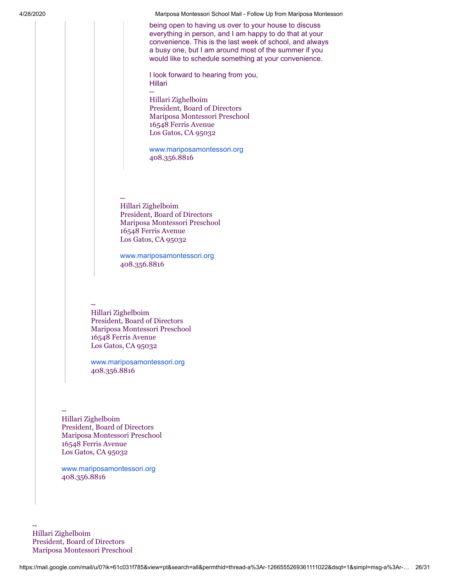being open to having us over to your house to discuss everything in person, and I am happy to do that at your convenience. This is the last week of school, and always a busy one, but I am around most of the summer if you would like to schedule something at your convenience.

I look forward to hearing from you, Hillari

-- Hillari Zighelboim President, Board of Directors Mariposa Montessori Preschool 16548 Ferris Avenue Los Gatos, CA 95032

[www.mariposamontessori.org](http://www.mariposamontessori.org/) 408.356.8816

-- Hillari Zighelboim President, Board of Directors Mariposa Montessori Preschool 16548 Ferris Avenue Los Gatos, CA 95032

[www.mariposamontessori.org](http://www.mariposamontessori.org/) 408.356.8816

## --

Hillari Zighelboim President, Board of Directors Mariposa Montessori Preschool 16548 Ferris Avenue Los Gatos, CA 95032

[www.mariposamontessori.org](http://www.mariposamontessori.org/) 408.356.8816

-- Hillari Zighelboim President, Board of Directors Mariposa Montessori Preschool 16548 Ferris Avenue Los Gatos, CA 95032

[www.mariposamontessori.org](http://www.mariposamontessori.org/) 408.356.8816

-- Hillari Zighelboim President, Board of Directors Mariposa Montessori Preschool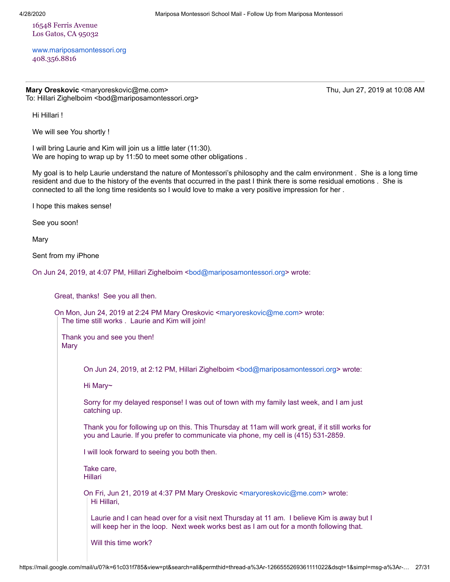16548 Ferris Avenue Los Gatos, CA 95032

[www.mariposamontessori.org](http://www.mariposamontessori.org/) 408.356.8816

**Mary Oreskovic** <maryoreskovic@me.com> Thu, Jun 27, 2019 at 10:08 AM To: Hillari Zighelboim <bod@mariposamontessori.org>

Hi Hillari !

We will see You shortly !

I will bring Laurie and Kim will join us a little later (11:30). We are hoping to wrap up by 11:50 to meet some other obligations .

My goal is to help Laurie understand the nature of Montessori's philosophy and the calm environment . She is a long time resident and due to the history of the events that occurred in the past I think there is some residual emotions . She is connected to all the long time residents so I would love to make a very positive impression for her .

I hope this makes sense!

See you soon!

Mary

Sent from my iPhone

On Jun 24, 2019, at 4:07 PM, Hillari Zighelboim <br/>bod@mariposamontessori.org> wrote:

Great, thanks! See you all then.

On Mon, Jun 24, 2019 at 2:24 PM Mary Oreskovic <[maryoreskovic@me.com](mailto:maryoreskovic@me.com)> wrote: The time still works . Laurie and Kim will join!

Thank you and see you then! Mary

On Jun 24, 2019, at 2:12 PM, Hillari Zighelboim <br/>[bod@mariposamontessori.org>](mailto:bod@mariposamontessori.org) wrote:

Hi Mary~

Sorry for my delayed response! I was out of town with my family last week, and I am just catching up.

Thank you for following up on this. This Thursday at 11am will work great, if it still works for you and Laurie. If you prefer to communicate via phone, my cell is (415) 531-2859.

I will look forward to seeing you both then.

Take care, Hillari

On Fri, Jun 21, 2019 at 4:37 PM Mary Oreskovic [<maryoreskovic@me.com](mailto:maryoreskovic@me.com)> wrote: Hi Hillari,

Laurie and I can head over for a visit next Thursday at 11 am. I believe Kim is away but I will keep her in the loop. Next week works best as I am out for a month following that.

Will this time work?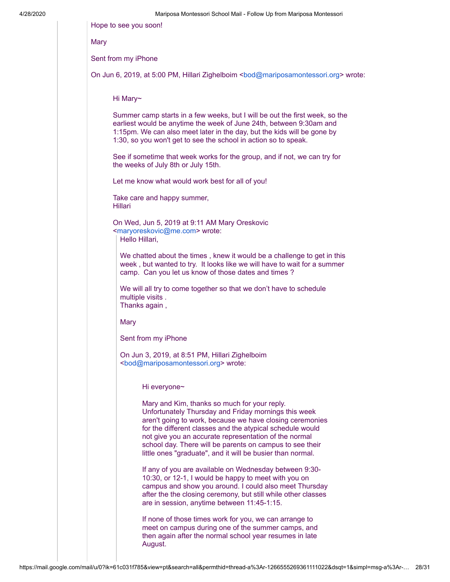| Hope to see you soon!                                                                                                                                                                                                                                                                                                                                                                                            |
|------------------------------------------------------------------------------------------------------------------------------------------------------------------------------------------------------------------------------------------------------------------------------------------------------------------------------------------------------------------------------------------------------------------|
| Mary                                                                                                                                                                                                                                                                                                                                                                                                             |
| Sent from my iPhone                                                                                                                                                                                                                                                                                                                                                                                              |
| On Jun 6, 2019, at 5:00 PM, Hillari Zighelboim <bod@mariposamontessori.org> wrote:</bod@mariposamontessori.org>                                                                                                                                                                                                                                                                                                  |
| Hi Mary~                                                                                                                                                                                                                                                                                                                                                                                                         |
| Summer camp starts in a few weeks, but I will be out the first week, so the<br>earliest would be anytime the week of June 24th, between 9:30am and<br>1:15pm. We can also meet later in the day, but the kids will be gone by<br>1:30, so you won't get to see the school in action so to speak.                                                                                                                 |
| See if sometime that week works for the group, and if not, we can try for<br>the weeks of July 8th or July 15th.                                                                                                                                                                                                                                                                                                 |
| Let me know what would work best for all of you!                                                                                                                                                                                                                                                                                                                                                                 |
| Take care and happy summer,<br><b>Hillari</b>                                                                                                                                                                                                                                                                                                                                                                    |
| On Wed, Jun 5, 2019 at 9:11 AM Mary Oreskovic<br><maryoreskovic@me.com> wrote:<br/>Hello Hillari,</maryoreskovic@me.com>                                                                                                                                                                                                                                                                                         |
| We chatted about the times, knew it would be a challenge to get in this<br>week, but wanted to try. It looks like we will have to wait for a summer<br>camp. Can you let us know of those dates and times?                                                                                                                                                                                                       |
| We will all try to come together so that we don't have to schedule<br>multiple visits.<br>Thanks again,                                                                                                                                                                                                                                                                                                          |
| Mary                                                                                                                                                                                                                                                                                                                                                                                                             |
| Sent from my iPhone                                                                                                                                                                                                                                                                                                                                                                                              |
| On Jun 3, 2019, at 8:51 PM, Hillari Zighelboim<br><bod@mariposamontessori.org> wrote:</bod@mariposamontessori.org>                                                                                                                                                                                                                                                                                               |
| Hi everyone~                                                                                                                                                                                                                                                                                                                                                                                                     |
| Mary and Kim, thanks so much for your reply.<br>Unfortunately Thursday and Friday mornings this week<br>aren't going to work, because we have closing ceremonies<br>for the different classes and the atypical schedule would<br>not give you an accurate representation of the normal<br>school day. There will be parents on campus to see their<br>little ones "graduate", and it will be busier than normal. |
| If any of you are available on Wednesday between 9:30-<br>10:30, or 12-1, I would be happy to meet with you on<br>campus and show you around. I could also meet Thursday<br>after the the closing ceremony, but still while other classes<br>are in session, anytime between 11:45-1:15.                                                                                                                         |
| If none of those times work for you, we can arrange to<br>meet on campus during one of the summer camps, and<br>then again after the normal school year resumes in late                                                                                                                                                                                                                                          |

August.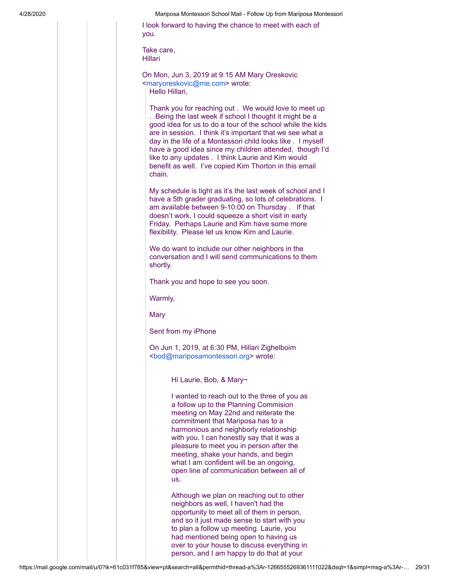I look forward to having the chance to meet with each of you.

Take care, Hillari

On Mon, Jun 3, 2019 at 9:15 AM Mary Oreskovic [<maryoreskovic@me.com](mailto:maryoreskovic@me.com)> wrote: Hello Hillari,

Thank you for reaching out . We would love to meet up . Being the last week if school I thought it might be a good idea for us to do a tour of the school while the kids are in session. I think it's important that we see what a day in the life of a Montessori child looks like . I myself have a good idea since my children attended, though I'd like to any updates . I think Laurie and Kim would benefit as well. I've copied Kim Thorton in this email chain.

My schedule is tight as it's the last week of school and I have a 5th grader graduating, so lots of celebrations. I am available between 9-10:00 on Thursday . If that doesn't work, I could squeeze a short visit in early Friday. Perhaps Laurie and Kim have some more flexibility. Please let us know Kim and Laurie.

We do want to include our other neighbors in the conversation and I will send communications to them shortly.

Thank you and hope to see you soon.

Warmly,

**Mary** 

Sent from my iPhone

On Jun 1, 2019, at 6:30 PM, Hillari Zighelboim [<bod@mariposamontessori.org>](mailto:bod@mariposamontessori.org) wrote:

Hi Laurie, Bob, & Mary~

I wanted to reach out to the three of you as a follow up to the Planning Commision meeting on May 22nd and reiterate the commitment that Mariposa has to a harmonious and neighborly relationship with you. I can honestly say that it was a pleasure to meet you in person after the meeting, shake your hands, and begin what I am confident will be an ongoing, open line of communication between all of us.

Although we plan on reaching out to other neighbors as well, I haven't had the opportunity to meet all of them in person, and so it just made sense to start with you to plan a follow up meeting. Laurie, you had mentioned being open to having us over to your house to discuss everything in person, and I am happy to do that at your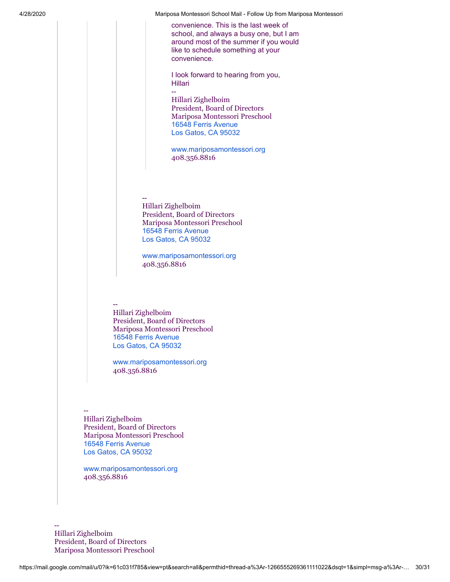convenience. This is the last week of school, and always a busy one, but I am around most of the summer if you would like to schedule something at your convenience.

I look forward to hearing from you, Hillari --

Hillari Zighelboim President, Board of Directors Mariposa Montessori Preschool [16548 Ferris Avenue](https://www.google.com/maps/search/16548+Ferris+Avenue+Los+Gatos,+CA+95032?entry=gmail&source=g) [Los Gatos, CA 95032](https://www.google.com/maps/search/16548+Ferris+Avenue+Los+Gatos,+CA+95032?entry=gmail&source=g)

[www.mariposamontessori.org](http://www.mariposamontessori.org/) 408.356.8816

-- Hillari Zighelboim President, Board of Directors Mariposa Montessori Preschool [16548 Ferris Avenue](https://www.google.com/maps/search/16548+Ferris+Avenue+Los+Gatos,+CA+95032?entry=gmail&source=g) [Los Gatos, CA 95032](https://www.google.com/maps/search/16548+Ferris+Avenue+Los+Gatos,+CA+95032?entry=gmail&source=g)

[www.mariposamontessori.org](http://www.mariposamontessori.org/) 408.356.8816

-- Hillari Zighelboim President, Board of Directors Mariposa Montessori Preschool [16548 Ferris Avenue](https://www.google.com/maps/search/16548+Ferris+Avenue+Los+Gatos,+CA+95032?entry=gmail&source=g) [Los Gatos, CA 95032](https://www.google.com/maps/search/16548+Ferris+Avenue+Los+Gatos,+CA+95032?entry=gmail&source=g)

[www.mariposamontessori.org](http://www.mariposamontessori.org/) 408.356.8816

-- Hillari Zighelboim President, Board of Directors Mariposa Montessori Preschool [16548 Ferris Avenue](https://www.google.com/maps/search/16548+Ferris+Avenue+Los+Gatos,+CA+95032?entry=gmail&source=g) [Los Gatos, CA 95032](https://www.google.com/maps/search/16548+Ferris+Avenue+Los+Gatos,+CA+95032?entry=gmail&source=g)

[www.mariposamontessori.org](http://www.mariposamontessori.org/) 408.356.8816

-- Hillari Zighelboim President, Board of Directors Mariposa Montessori Preschool